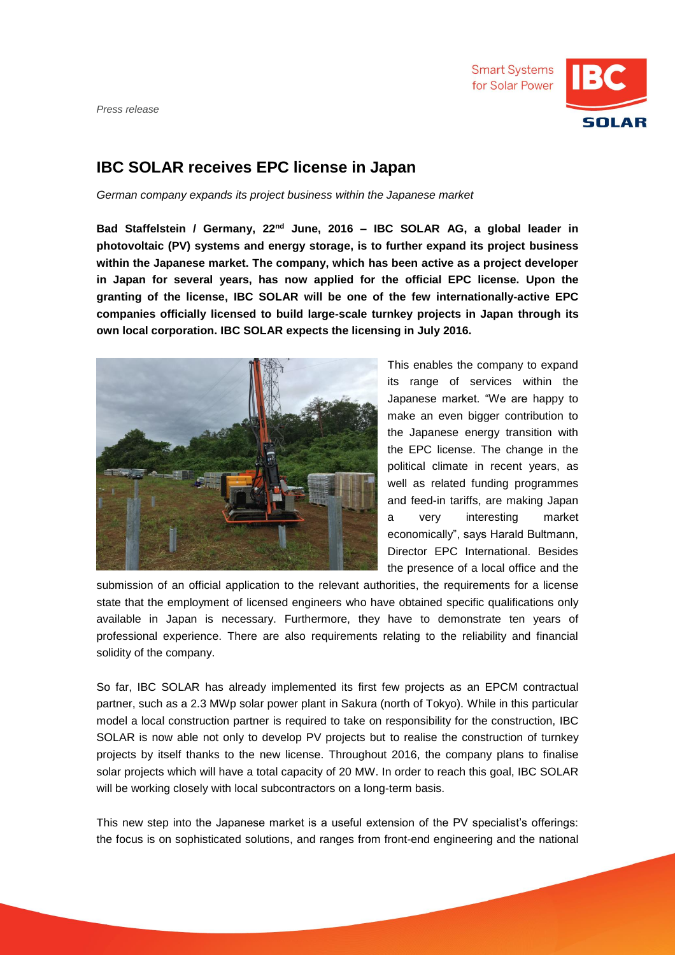*Press release*



## **IBC SOLAR receives EPC license in Japan**

*German company expands its project business within the Japanese market*

**Bad Staffelstein / Germany, 22nd June, 2016 – IBC SOLAR AG, a global leader in photovoltaic (PV) systems and energy storage, is to further expand its project business within the Japanese market. The company, which has been active as a project developer in Japan for several years, has now applied for the official EPC license. Upon the granting of the license, IBC SOLAR will be one of the few internationally-active EPC companies officially licensed to build large-scale turnkey projects in Japan through its own local corporation. IBC SOLAR expects the licensing in July 2016.**



This enables the company to expand its range of services within the Japanese market. "We are happy to make an even bigger contribution to the Japanese energy transition with the EPC license. The change in the political climate in recent years, as well as related funding programmes and feed-in tariffs, are making Japan a very interesting market economically", says Harald Bultmann, Director EPC International. Besides the presence of a local office and the

submission of an official application to the relevant authorities, the requirements for a license state that the employment of licensed engineers who have obtained specific qualifications only available in Japan is necessary. Furthermore, they have to demonstrate ten years of professional experience. There are also requirements relating to the reliability and financial solidity of the company.

So far, IBC SOLAR has already implemented its first few projects as an EPCM contractual partner, such as a 2.3 MWp solar power plant in Sakura (north of Tokyo). While in this particular model a local construction partner is required to take on responsibility for the construction, IBC SOLAR is now able not only to develop PV projects but to realise the construction of turnkey projects by itself thanks to the new license. Throughout 2016, the company plans to finalise solar projects which will have a total capacity of 20 MW. In order to reach this goal, IBC SOLAR will be working closely with local subcontractors on a long-term basis.

This new step into the Japanese market is a useful extension of the PV specialist's offerings: the focus is on sophisticated solutions, and ranges from front-end engineering and the national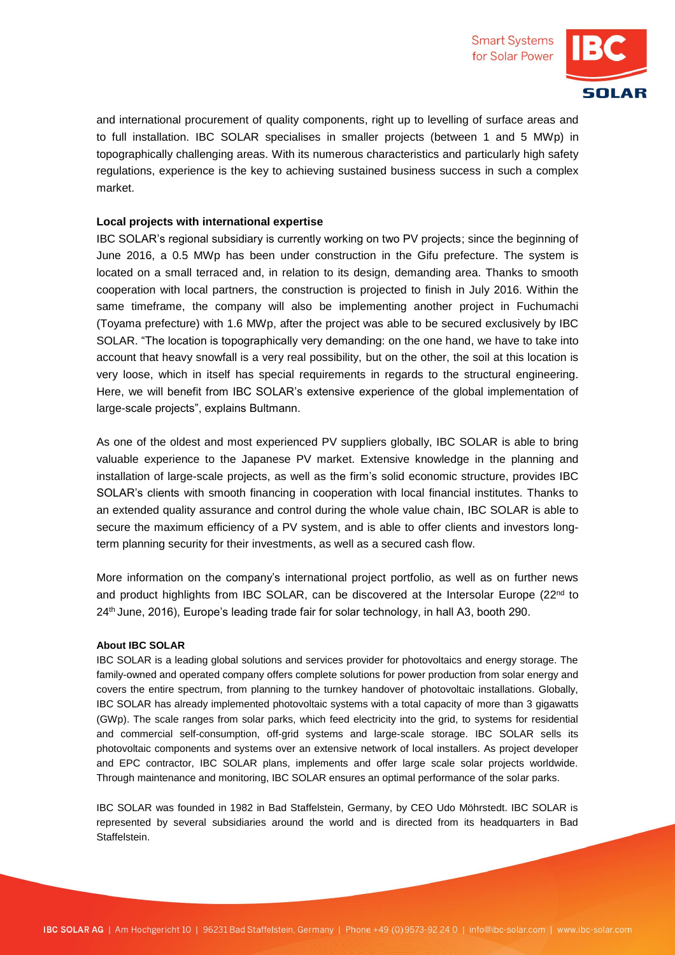and international procurement of quality components, right up to levelling of surface areas and to full installation. IBC SOLAR specialises in smaller projects (between 1 and 5 MWp) in topographically challenging areas. With its numerous characteristics and particularly high safety regulations, experience is the key to achieving sustained business success in such a complex market.

## **Local projects with international expertise**

IBC SOLAR's regional subsidiary is currently working on two PV projects; since the beginning of June 2016, a 0.5 MWp has been under construction in the Gifu prefecture. The system is located on a small terraced and, in relation to its design, demanding area. Thanks to smooth cooperation with local partners, the construction is projected to finish in July 2016. Within the same timeframe, the company will also be implementing another project in Fuchumachi (Toyama prefecture) with 1.6 MWp, after the project was able to be secured exclusively by IBC SOLAR. "The location is topographically very demanding: on the one hand, we have to take into account that heavy snowfall is a very real possibility, but on the other, the soil at this location is very loose, which in itself has special requirements in regards to the structural engineering. Here, we will benefit from IBC SOLAR's extensive experience of the global implementation of large-scale projects", explains Bultmann.

As one of the oldest and most experienced PV suppliers globally, IBC SOLAR is able to bring valuable experience to the Japanese PV market. Extensive knowledge in the planning and installation of large-scale projects, as well as the firm's solid economic structure, provides IBC SOLAR's clients with smooth financing in cooperation with local financial institutes. Thanks to an extended quality assurance and control during the whole value chain, IBC SOLAR is able to secure the maximum efficiency of a PV system, and is able to offer clients and investors longterm planning security for their investments, as well as a secured cash flow.

More information on the company's international project portfolio, as well as on further news and product highlights from IBC SOLAR, can be discovered at the Intersolar Europe (22<sup>nd</sup> to 24th June, 2016), Europe's leading trade fair for solar technology, in hall A3, booth 290.

## **About IBC SOLAR**

IBC SOLAR is a leading global solutions and services provider for photovoltaics and energy storage. The family-owned and operated company offers complete solutions for power production from solar energy and covers the entire spectrum, from planning to the turnkey handover of photovoltaic installations. Globally, IBC SOLAR has already implemented photovoltaic systems with a total capacity of more than 3 gigawatts (GWp). The scale ranges from solar parks, which feed electricity into the grid, to systems for residential and commercial self-consumption, off-grid systems and large-scale storage. IBC SOLAR sells its photovoltaic components and systems over an extensive network of local installers. As project developer and EPC contractor, IBC SOLAR plans, implements and offer large scale solar projects worldwide. Through maintenance and monitoring, IBC SOLAR ensures an optimal performance of the solar parks.

IBC SOLAR was founded in 1982 in Bad Staffelstein, Germany, by CEO Udo Möhrstedt. IBC SOLAR is represented by several subsidiaries around the world and is directed from its headquarters in Bad Staffelstein.